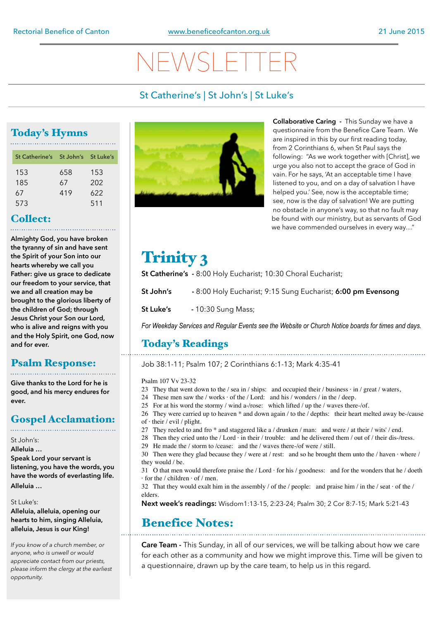# NEWSLETTER

### St Catherine's | St John's | St Luke's

### Today's Hymns

|  | St Catherine's St John's St Luke's |     |     |
|--|------------------------------------|-----|-----|
|  | 153                                | 658 | 153 |
|  | 185                                | 67  | 202 |
|  | 67                                 | 419 | 622 |
|  | 573                                |     | 511 |

### Collect:

**Almighty God, you have broken the tyranny of sin and have sent the Spirit of your Son into our hearts whereby we call you Father: give us grace to dedicate our freedom to your service, that we and all creation may be brought to the glorious liberty of the children of God; through Jesus Christ your Son our Lord, who is alive and reigns with you and the Holy Spirit, one God, now and for ever.**

### Psalm Response:

**Give thanks to the Lord for he is good, and his mercy endures for ever.** 

### Gospel Acclamation:

St John's: **Alleluia …** 

**Speak Lord your servant is listening, you have the words, you have the words of everlasting life. Alleluia …** 

### St Luke's:

**Alleluia, alleluia, opening our hearts to him, singing Alleluia, alleluia, Jesus is our King!**

*If you know of a church member, or anyone, who is unwell or would appreciate contact from our priests, please inform the clergy at the earliest opportunity.* 



**Collaborative Caring -** This Sunday we have a questionnaire from the Benefice Care Team. We are inspired in this by our first reading today, from 2 Corinthians 6, when St Paul says the following: "As we work together with [Christ], we urge you also not to accept the grace of God in vain. For he says, 'At an acceptable time I have listened to you, and on a day of salvation I have helped you.' See, now is the acceptable time; see, now is the day of salvation! We are putting no obstacle in anyone's way, so that no fault may be found with our ministry, but as servants of God we have commended ourselves in every way…"

## Trinity 3

**St Catherine's -** 8:00 Holy Eucharist; 10:30 Choral Eucharist;

- **St John's** 8:00 Holy Eucharist; 9:15 Sung Eucharist; **6:00 pm Evensong**
- **St Luke's** 10:30 Sung Mass;

*For Weekday Services and Regular Events see the Website or Church Notice boards for times and days.*

### Today's Readings

Job 38:1-11; Psalm 107; 2 Corinthians 6:1-13; Mark 4:35-41

Psalm 107 Vv 23-32

- 23 They that went down to the / sea in / ships: and occupied their / business  $\cdot$  in / great / waters,
- 24 These men saw the / works  $\cdot$  of the / Lord: and his / wonders / in the / deep.
- 25 For at his word the stormy / wind a-/rose: which lifted / up the / waves there-/of.
- 26 They were carried up to heaven \* and down again / to the / depths: their heart melted away be-/cause of  $\cdot$  their / evil / plight.
- 27 They reeled to and fro \* and staggered like a / drunken / man: and were / at their / wits' / end.
- 28 Then they cried unto the  $/$  Lord  $\cdot$  in their  $/$  trouble: and he delivered them  $/$  out of  $/$  their dis-/tress.
- 29 He made the / storm to /cease: and the / waves there-/of were / still.
- 30 Then were they glad because they / were at / rest: and so he brought them unto the / haven · where / they would / be.
- 31 O that men would therefore praise the / Lord · for his / goodness: and for the wonders that he / doeth · for the / children · of / men.
- 32 That they would exalt him in the assembly / of the / people: and praise him / in the / seat · of the / elders.

**Next week's readings:** Wisdom1:13-15, 2:23-24; Psalm 30; 2 Cor 8:7-15; Mark 5:21-43

### Benefice Notes:

**Care Team -** This Sunday, in all of our services, we will be talking about how we care for each other as a community and how we might improve this. Time will be given to a questionnaire, drawn up by the care team, to help us in this regard.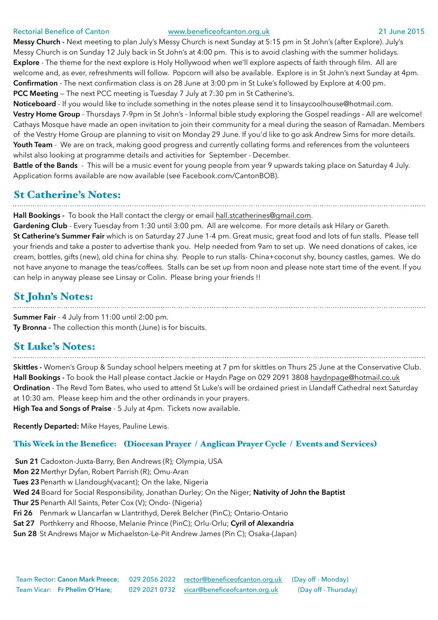### Rectorial Benefice of Canton [www.beneficeofcanton.org.uk](http://www.beneficeofcanton.org.uk) 21 June 2015

**Messy Church -** Next meeting to plan July's Messy Church is next Sunday at 5:15 pm in St John's (after Explore). July's Messy Church is on Sunday 12 July back in St John's at 4:00 pm. This is to avoid clashing with the summer holidays. **Explore** - The theme for the next explore is Holy Hollywood when we'll explore aspects of faith through film. All are welcome and, as ever, refreshments will follow. Popcorn will also be available. Explore is in St John's next Sunday at 4pm. **Confirmation** - The next confirmation class is on 28 June at 3:00 pm in St Luke's followed by Explore at 4:00 pm. **PCC Meeting** — The next PCC meeting is Tuesday 7 July at 7:30 pm in St Catherine's.

**Noticeboard** - If you would like to include something in the notes please send it to [linsaycoolhouse@hotmail.com](mailto:linsaycoolhouse@hotmail.com). **Vestry Home Group** - Thursdays 7-9pm in St John's - Informal bible study exploring the Gospel readings - All are welcome! Cathays Mosque have made an open invitation to join their community for a meal during the season of Ramadan. Members of the Vestry Home Group are planning to visit on Monday 29 June. If you'd like to go ask Andrew Sims for more details. **Youth Team** - We are on track, making good progress and currently collating forms and references from the volunteers whilst also looking at programme details and activities for September - December.

**Battle of the Bands** - This will be a music event for young people from year 9 upwards taking place on Saturday 4 July. Application forms available are now available (see Facebook.com/CantonBOB).

### St Catherine's Notes:

**Hall Bookings -** To book the Hall contact the clergy or email [hall.stcatherines@gmail.com](mailto:hall.stcatherines@gmail.com).

**Gardening Club** - Every Tuesday from 1:30 until 3:00 pm. All are welcome. For more details ask Hilary or Gareth. **St Catherine's Summer Fair** which is on Saturday 27 June 1-4 pm. Great music, great food and lots of fun stalls. Please tell your friends and take a poster to advertise thank you. Help needed from 9am to set up. We need donations of cakes, ice cream, bottles, gifts (new), old china for china shy. People to run stalls- China+coconut shy, bouncy castles, games. We do not have anyone to manage the teas/coffees. Stalls can be set up from noon and please note start time of the event. If you can help in anyway please see Linsay or Colin. Please bring your friends !!

### St John's Notes:

**Summer Fair** - 4 July from 11:00 until 2:00 pm. **Ty Bronna -** The collection this month (June) is for biscuits.

### St Luke's Notes:

**Skittles -** Women's Group & Sunday school helpers meeting at 7 pm for skittles on Thurs 25 June at the Conservative Club. **Hall Bookings -** To book the Hall please contact Jackie or Haydn Page on 029 2091 3808 [haydnpage@hotmail.co.uk](mailto:haydnpage@hotmail.co.uk) **Ordination** - The Revd Tom Bates, who used to attend St Luke's will be ordained priest in Llandaff Cathedral next Saturday at 10:30 am. Please keep him and the other ordinands in your prayers. **High Tea and Songs of Praise** - 5 July at 4pm. Tickets now available.

**Recently Departed:** Mike Hayes, Pauline Lewis.

### This Week in the Benefice: (Diocesan Prayer / Anglican Prayer Cycle / Events and Services)

**Sun 21** Cadoxton-Juxta-Barry, Ben Andrews (R); Olympia, USA

**Mon 22** Merthyr Dyfan, Robert Parrish (R); Omu-Aran

**Tues 23**Penarth w Llandough(vacant); On the lake, Nigeria

**Wed 24**Board for Social Responsibility, Jonathan Durley; On the Niger; **Nativity of John the Baptist**

**Thur 25**Penarth All Saints, Peter Cox (V); Ondo- (Nigeria)

**Fri 26** Penmark w Llancarfan w Llantrithyd, Derek Belcher (PinC); Ontario-Ontario

**Sat 27** Porthkerry and Rhoose, Melanie Prince (PinC); Orlu-Orlu; **Cyril of Alexandria** 

**Sun 28** St Andrews Major w Michaelston-Le-Pit Andrew James (Pin C); Osaka-(Japan)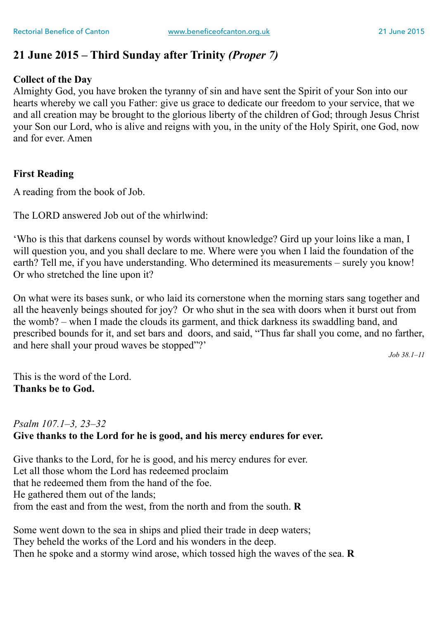### **21 June 2015 – Third Sunday after Trinity** *(Proper 7)*

### **Collect of the Day**

Almighty God, you have broken the tyranny of sin and have sent the Spirit of your Son into our hearts whereby we call you Father: give us grace to dedicate our freedom to your service, that we and all creation may be brought to the glorious liberty of the children of God; through Jesus Christ your Son our Lord, who is alive and reigns with you, in the unity of the Holy Spirit, one God, now and for ever. Amen

### **First Reading**

A reading from the book of Job.

The LORD answered Job out of the whirlwind:

'Who is this that darkens counsel by words without knowledge? Gird up your loins like a man, I will question you, and you shall declare to me. Where were you when I laid the foundation of the earth? Tell me, if you have understanding. Who determined its measurements – surely you know! Or who stretched the line upon it?

On what were its bases sunk, or who laid its cornerstone when the morning stars sang together and all the heavenly beings shouted for joy? Or who shut in the sea with doors when it burst out from the womb? – when I made the clouds its garment, and thick darkness its swaddling band, and prescribed bounds for it, and set bars and doors, and said, "Thus far shall you come, and no farther, and here shall your proud waves be stopped"?'

*Job 38.1–11*

This is the word of the Lord. **Thanks be to God.**

### *Psalm 107.1–3, 23–32* **Give thanks to the Lord for he is good, and his mercy endures for ever.**

Give thanks to the Lord, for he is good, and his mercy endures for ever. Let all those whom the Lord has redeemed proclaim that he redeemed them from the hand of the foe. He gathered them out of the lands; from the east and from the west, from the north and from the south. **R**

Some went down to the sea in ships and plied their trade in deep waters; They beheld the works of the Lord and his wonders in the deep. Then he spoke and a stormy wind arose, which tossed high the waves of the sea. **R**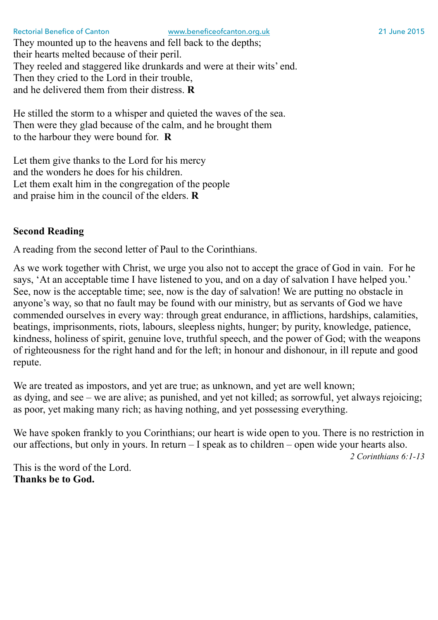They mounted up to the heavens and fell back to the depths; their hearts melted because of their peril. They reeled and staggered like drunkards and were at their wits' end. Then they cried to the Lord in their trouble, and he delivered them from their distress. **R**

He stilled the storm to a whisper and quieted the waves of the sea. Then were they glad because of the calm, and he brought them to the harbour they were bound for. **R**

Let them give thanks to the Lord for his mercy and the wonders he does for his children. Let them exalt him in the congregation of the people and praise him in the council of the elders. **R**

### **Second Reading**

A reading from the second letter of Paul to the Corinthians.

As we work together with Christ, we urge you also not to accept the grace of God in vain. For he says, 'At an acceptable time I have listened to you, and on a day of salvation I have helped you.' See, now is the acceptable time; see, now is the day of salvation! We are putting no obstacle in anyone's way, so that no fault may be found with our ministry, but as servants of God we have commended ourselves in every way: through great endurance, in afflictions, hardships, calamities, beatings, imprisonments, riots, labours, sleepless nights, hunger; by purity, knowledge, patience, kindness, holiness of spirit, genuine love, truthful speech, and the power of God; with the weapons of righteousness for the right hand and for the left; in honour and dishonour, in ill repute and good repute.

We are treated as impostors, and yet are true; as unknown, and yet are well known; as dying, and see – we are alive; as punished, and yet not killed; as sorrowful, yet always rejoicing; as poor, yet making many rich; as having nothing, and yet possessing everything.

We have spoken frankly to you Corinthians; our heart is wide open to you. There is no restriction in our affections, but only in yours. In return – I speak as to children – open wide your hearts also.

*2 Corinthians 6:1-13*

This is the word of the Lord. **Thanks be to God.**